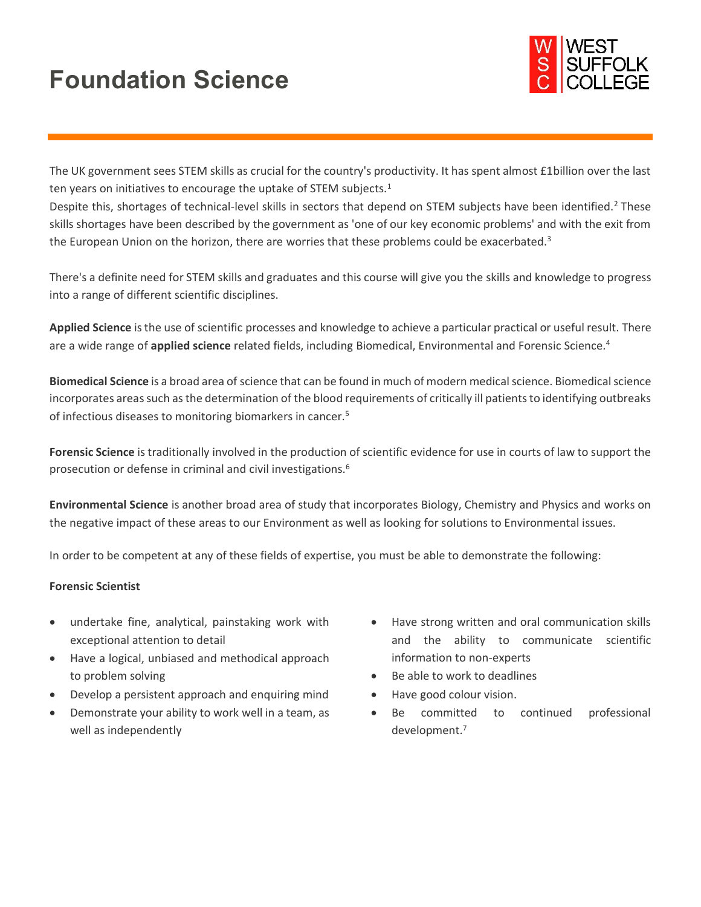# **Foundation Science**



The UK government sees STEM skills as crucial for the country's productivity. It has spent almost £1billion over the last ten years on initiatives to encourage the uptake of STEM subjects.<sup>1</sup>

Despite this, shortages of technical-level skills in sectors that depend on STEM subjects have been identified.<sup>2</sup> These skills shortages have been described by the government as 'one of our key economic problems' and with the exit from the European Union on the horizon, there are worries that these problems could be exacerbated.<sup>3</sup>

There's a definite need for STEM skills and graduates and this course will give you the skills and knowledge to progress into a range of different scientific disciplines.

**Applied Science** is the use of scientific processes and knowledge to achieve a particular practical or useful result. There are a wide range of **applied science** related fields, including Biomedical, Environmental and Forensic Science.<sup>4</sup>

**Biomedical Science** is a broad area of science that can be found in much of modern medical science. Biomedical science incorporates areas such as the determination of the blood requirements of critically ill patients to identifying outbreaks of infectious diseases to monitoring biomarkers in cancer.<sup>5</sup>

**Forensic Science** is traditionally involved in the production of scientific evidence for use in courts of law to support the prosecution or defense in criminal and civil investigations.<sup>6</sup>

**Environmental Science** is another broad area of study that incorporates Biology, Chemistry and Physics and works on the negative impact of these areas to our Environment as well as looking for solutions to Environmental issues.

In order to be competent at any of these fields of expertise, you must be able to demonstrate the following:

#### **Forensic Scientist**

- undertake fine, analytical, painstaking work with exceptional attention to detail
- Have a logical, unbiased and methodical approach to problem solving
- Develop a persistent approach and enquiring mind
- Demonstrate your ability to work well in a team, as well as independently
- Have strong written and oral communication skills and the ability to communicate scientific information to non-experts
- Be able to work to deadlines
- Have good colour vision.
- Be committed to continued professional development. 7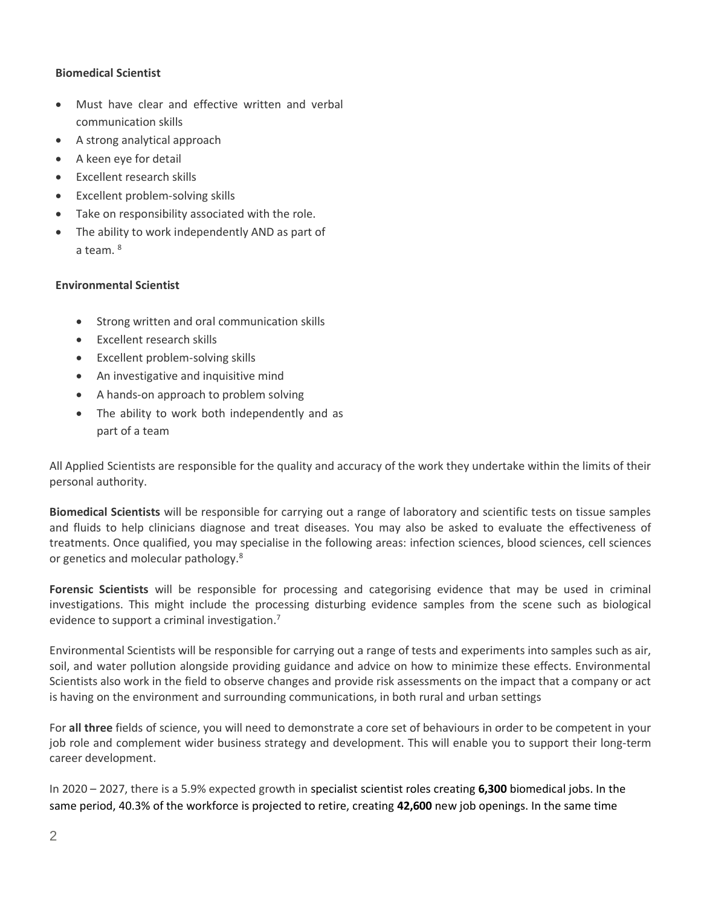## **Biomedical Scientist**

- Must have clear and effective written and verbal communication skills
- A strong analytical approach
- A keen eye for detail
- Excellent research skills
- Excellent problem-solving skills
- Take on responsibility associated with the role.
- The ability to work independently AND as part of a team. <sup>8</sup>

# **Environmental Scientist**

- Strong written and oral communication skills
- Excellent research skills
- Excellent problem-solving skills
- An investigative and inquisitive mind
- A hands-on approach to problem solving
- The ability to work both independently and as part of a team

All Applied Scientists are responsible for the quality and accuracy of the work they undertake within the limits of their personal authority.

**Biomedical Scientists** will be responsible for carrying out a range of laboratory and scientific tests on tissue samples and fluids to help clinicians diagnose and treat diseases. You may also be asked to evaluate the effectiveness of treatments. Once qualified, you may specialise in the following areas: infection sciences, blood sciences, cell sciences or genetics and molecular pathology.<sup>8</sup>

**Forensic Scientists** will be responsible for processing and categorising evidence that may be used in criminal investigations. This might include the processing disturbing evidence samples from the scene such as biological evidence to support a criminal investigation. 7

Environmental Scientists will be responsible for carrying out a range of tests and experiments into samples such as air, soil, and water pollution alongside providing guidance and advice on how to minimize these effects. Environmental Scientists also work in the field to observe changes and provide risk assessments on the impact that a company or act is having on the environment and surrounding communications, in both rural and urban settings

For **all three** fields of science, you will need to demonstrate a core set of behaviours in order to be competent in your job role and complement wider business strategy and development. This will enable you to support their long-term career development.

In 2020 – 2027, there is a 5.9% expected growth in specialist scientist roles creating **6,300** biomedical jobs. In the same period, 40.3% of the workforce is projected to retire, creating **42,600** new job openings. In the same time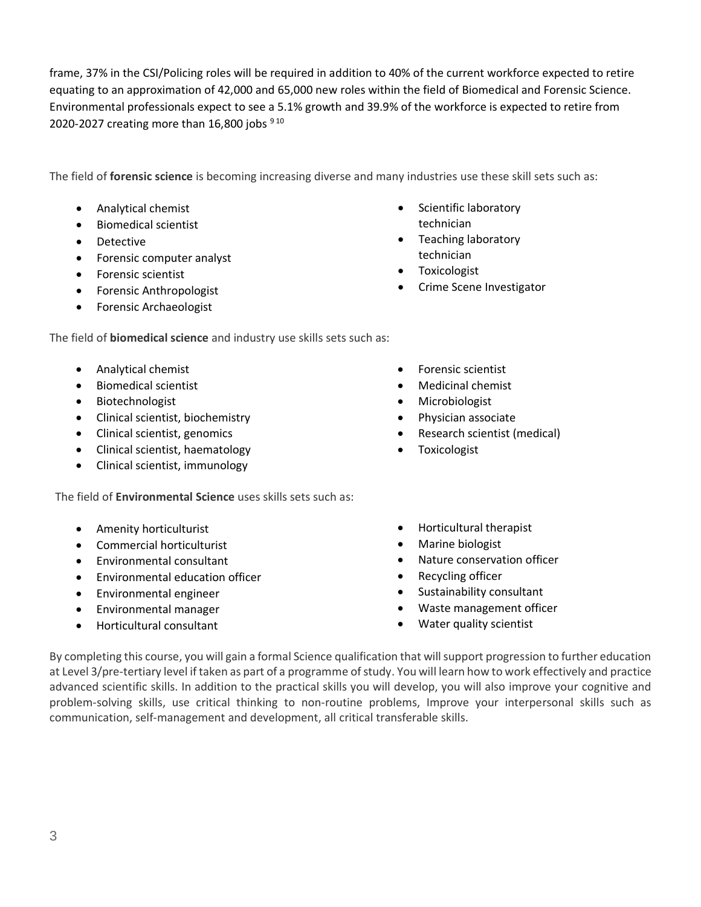frame, 37% in the CSI/Policing roles will be required in addition to 40% of the current workforce expected to retire equating to an approximation of 42,000 and 65,000 new roles within the field of Biomedical and Forensic Science. Environmental professionals expect to see a 5.1% growth and 39.9% of the workforce is expected to retire from 2020-2027 creating more than 16,800 jobs  $910$ 

The field of **forensic science** is becoming increasing diverse and many industries use these skill sets such as:

- Analytical chemist
- Biomedical scientist
- Detective
- Forensic computer analyst
- Forensic scientist
- Forensic Anthropologist
- Forensic Archaeologist

The field of **biomedical science** and industry use skills sets such as:

- [Analytical chemist](https://www.prospects.ac.uk/job-profiles/analytical-chemist)
- [Biomedical scientist](https://www.prospects.ac.uk/job-profiles/biomedical-scientist)
- [Biotechnologist](https://www.prospects.ac.uk/job-profiles/biotechnologist)
- [Clinical scientist, biochemistry](https://www.prospects.ac.uk/job-profiles/clinical-scientist-biochemistry)
- [Clinical scientist, genomics](https://www.prospects.ac.uk/job-profiles/clinical-scientist-genomics)
- [Clinical scientist, haematology](https://www.prospects.ac.uk/job-profiles/clinical-scientist-haematology)
- [Clinical scientist, immunology](https://www.prospects.ac.uk/job-profiles/clinical-scientist-immunology)

The field of **Environmental Science** uses skills sets such as:

- Amenity horticulturist
- Commercial horticulturist
- Environmental consultant
- Environmental education officer
- Environmental engineer
- Environmental manager
- Horticultural consultant

• Scientific laboratory

• Crime Scene Investigator

technician • Teaching laboratory technician • Toxicologist

- [Forensic scientist](https://www.prospects.ac.uk/job-profiles/forensic-scientist) • [Medicinal chemist](https://www.prospects.ac.uk/job-profiles/medicinal-chemist)
- [Microbiologist](https://www.prospects.ac.uk/job-profiles/microbiologist)
- [Physician associate](https://www.prospects.ac.uk/job-profiles/physician-associate)
- [Research scientist \(medical\)](https://www.prospects.ac.uk/job-profiles/research-scientist-medical)
- **[Toxicologist](https://www.prospects.ac.uk/job-profiles/toxicologist)**
- Horticultural therapist
- Marine biologist
- Nature conservation officer
- Recycling officer
- Sustainability consultant
- Waste management officer
- Water quality scientist

By completing this course, you will gain a formal Science qualification that will support progression to further education at Level 3/pre-tertiary level if taken as part of a programme of study. You will learn how to work effectively and practice advanced scientific skills. In addition to the practical skills you will develop, you will also improve your cognitive and problem-solving skills, use critical thinking to non-routine problems, Improve your interpersonal skills such as communication, self-management and development, all critical transferable skills.